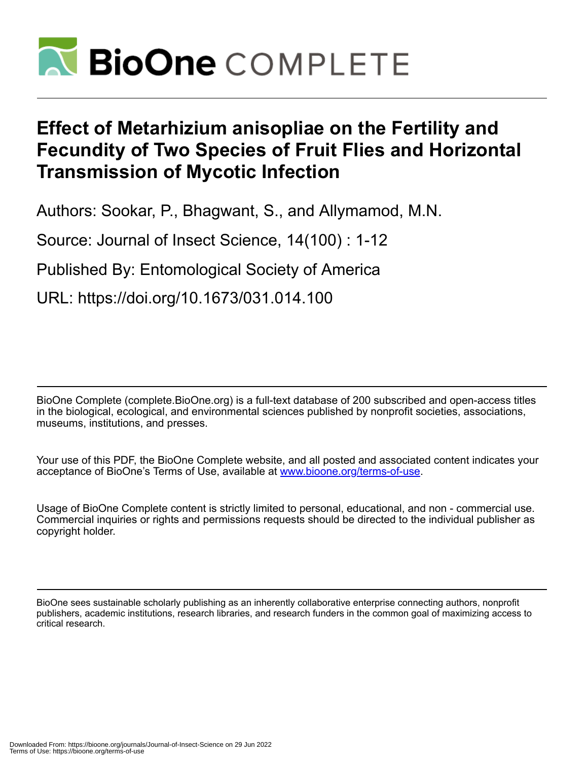

# **Effect of Metarhizium anisopliae on the Fertility and Fecundity of Two Species of Fruit Flies and Horizontal Transmission of Mycotic Infection**

Authors: Sookar, P., Bhagwant, S., and Allymamod, M.N.

Source: Journal of Insect Science, 14(100) : 1-12

Published By: Entomological Society of America

URL: https://doi.org/10.1673/031.014.100

BioOne Complete (complete.BioOne.org) is a full-text database of 200 subscribed and open-access titles in the biological, ecological, and environmental sciences published by nonprofit societies, associations, museums, institutions, and presses.

Your use of this PDF, the BioOne Complete website, and all posted and associated content indicates your acceptance of BioOne's Terms of Use, available at www.bioone.org/terms-of-use.

Usage of BioOne Complete content is strictly limited to personal, educational, and non - commercial use. Commercial inquiries or rights and permissions requests should be directed to the individual publisher as copyright holder.

BioOne sees sustainable scholarly publishing as an inherently collaborative enterprise connecting authors, nonprofit publishers, academic institutions, research libraries, and research funders in the common goal of maximizing access to critical research.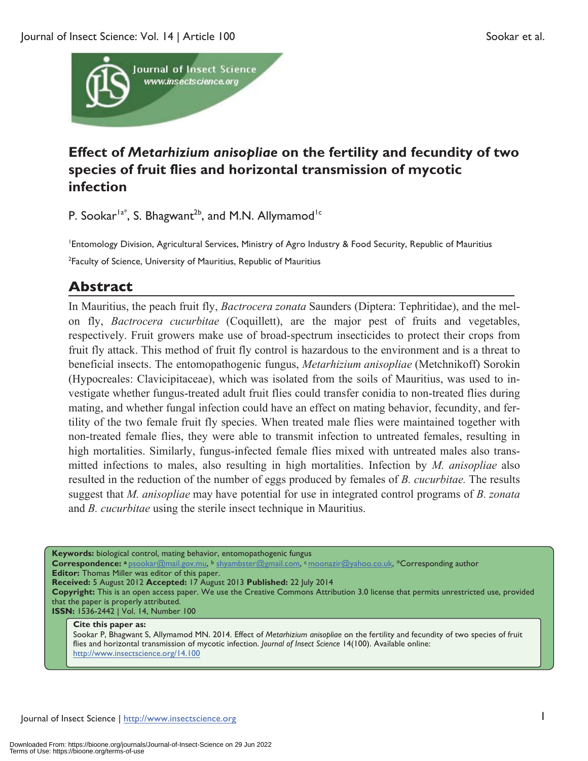

# **Effect of** *Metarhizium anisopliae* **on the fertility and fecundity of two species of fruit flies and horizontal transmission of mycotic infection**

P. Sookar $1a^*$ , S. Bhagwant<sup>2b</sup>, and M.N. Allymamod<sup>1c</sup>

1 Entomology Division, Agricultural Services, Ministry of Agro Industry & Food Security, Republic of Mauritius <sup>2</sup> Faculty of Science, University of Mauritius, Republic of Mauritius

# **Abstract**

In Mauritius, the peach fruit fly, *Bactrocera zonata* Saunders (Diptera: Tephritidae), and the melon fly, *Bactrocera cucurbitae* (Coquillett), are the major pest of fruits and vegetables, respectively. Fruit growers make use of broad-spectrum insecticides to protect their crops from fruit fly attack. This method of fruit fly control is hazardous to the environment and is a threat to beneficial insects. The entomopathogenic fungus, *Metarhizium anisopliae* (Metchnikoff) Sorokin (Hypocreales: Clavicipitaceae), which was isolated from the soils of Mauritius, was used to investigate whether fungus-treated adult fruit flies could transfer conidia to non-treated flies during mating, and whether fungal infection could have an effect on mating behavior, fecundity, and fertility of the two female fruit fly species. When treated male flies were maintained together with non-treated female flies, they were able to transmit infection to untreated females, resulting in high mortalities. Similarly, fungus-infected female flies mixed with untreated males also transmitted infections to males, also resulting in high mortalities. Infection by *M. anisopliae* also resulted in the reduction of the number of eggs produced by females of *B. cucurbitae.* The results suggest that *M. anisopliae* may have potential for use in integrated control programs of *B. zonata*  and *B. cucurbitae* using the sterile insect technique in Mauritius.

**Keywords:** biological control, mating behavior, entomopathogenic fungus

**Correspondence: a** psookar@mail.gov.mu, b shyambster@gmail.com, c moonazir@yahoo.co.uk, \*Corresponding author **Editor:** Thomas Miller was editor of this paper.

**Received:** 5 August 2012 **Accepted:** 17 August 2013 **Published:** 22 July 2014

**Copyright:** This is an open access paper. We use the Creative Commons Attribution 3.0 license that permits unrestricted use, provided that the paper is properly attributed.

**ISSN:** 1536-2442 | Vol. 14, Number 100

#### **Cite this paper as:**

Sookar P, Bhagwant S, Allymamod MN. 2014. Effect of *Metarhizium anisopliae* on the fertility and fecundity of two species of fruit flies and horizontal transmission of mycotic infection. *Journal of Insect Science* 14(100). Available online: http://www.insectscience.org/14.100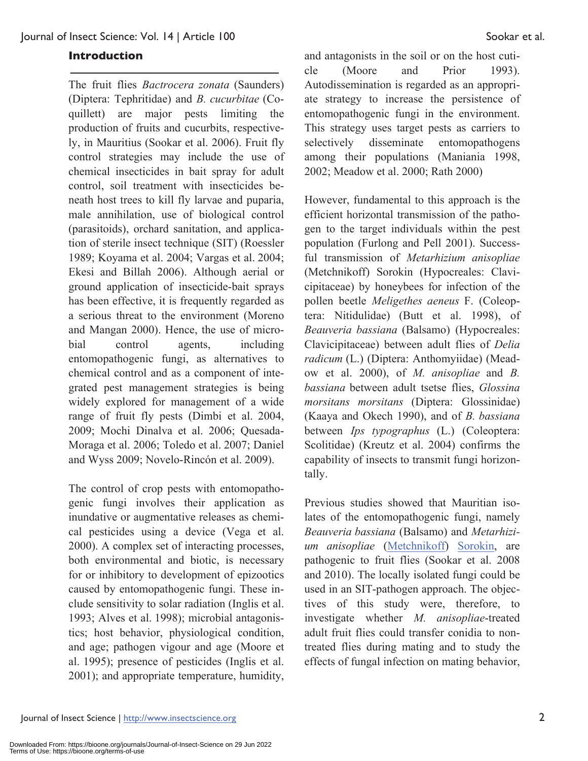#### **Introduction**

The fruit flies *Bactrocera zonata* (Saunders) (Diptera: Tephritidae) and *B. cucurbitae* (Coquillett) are major pests limiting the production of fruits and cucurbits, respectively, in Mauritius (Sookar et al. 2006). Fruit fly control strategies may include the use of chemical insecticides in bait spray for adult control, soil treatment with insecticides beneath host trees to kill fly larvae and puparia, male annihilation, use of biological control (parasitoids), orchard sanitation, and application of sterile insect technique (SIT) (Roessler 1989; Koyama et al. 2004; Vargas et al. 2004; Ekesi and Billah 2006). Although aerial or ground application of insecticide-bait sprays has been effective, it is frequently regarded as a serious threat to the environment (Moreno and Mangan 2000). Hence, the use of microbial control agents, including entomopathogenic fungi, as alternatives to chemical control and as a component of integrated pest management strategies is being widely explored for management of a wide range of fruit fly pests (Dimbi et al. 2004, 2009; Mochi Dinalva et al. 2006; Quesada-Moraga et al. 2006; Toledo et al. 2007; Daniel and Wyss 2009; Novelo-Rincón et al. 2009).

The control of crop pests with entomopathogenic fungi involves their application as inundative or augmentative releases as chemical pesticides using a device (Vega et al. 2000). A complex set of interacting processes, both environmental and biotic, is necessary for or inhibitory to development of epizootics caused by entomopathogenic fungi. These include sensitivity to solar radiation (Inglis et al. 1993; Alves et al. 1998); microbial antagonistics; host behavior, physiological condition, and age; pathogen vigour and age (Moore et al. 1995); presence of pesticides (Inglis et al. 2001); and appropriate temperature, humidity,

and antagonists in the soil or on the host cuticle (Moore and Prior 1993). Autodissemination is regarded as an appropriate strategy to increase the persistence of entomopathogenic fungi in the environment. This strategy uses target pests as carriers to selectively disseminate entomopathogens among their populations (Maniania 1998, 2002; Meadow et al. 2000; Rath 2000)

However, fundamental to this approach is the efficient horizontal transmission of the pathogen to the target individuals within the pest population (Furlong and Pell 2001). Successful transmission of *Metarhizium anisopliae* (Metchnikoff) Sorokin (Hypocreales: Clavicipitaceae) by honeybees for infection of the pollen beetle *Meligethes aeneus* F. (Coleoptera: Nitidulidae) (Butt et al. 1998), of *Beauveria bassiana* (Balsamo) (Hypocreales: Clavicipitaceae) between adult flies of *Delia radicum* (L.) (Diptera: Anthomyiidae) (Meadow et al. 2000), of *M. anisopliae* and *B. bassiana* between adult tsetse flies, *Glossina morsitans morsitans* (Diptera: Glossinidae) (Kaaya and Okech 1990), and of *B. bassiana*  between *Ips typographus* (L.) (Coleoptera: Scolitidae) (Kreutz et al. 2004) confirms the capability of insects to transmit fungi horizontally.

Previous studies showed that Mauritian isolates of the entomopathogenic fungi, namely *Beauveria bassiana* (Balsamo) and *Metarhizium anisopliae* (Metchnikoff) Sorokin, are pathogenic to fruit flies (Sookar et al. 2008 and 2010). The locally isolated fungi could be used in an SIT-pathogen approach. The objectives of this study were, therefore, to investigate whether *M. anisopliae*-treated adult fruit flies could transfer conidia to nontreated flies during mating and to study the effects of fungal infection on mating behavior,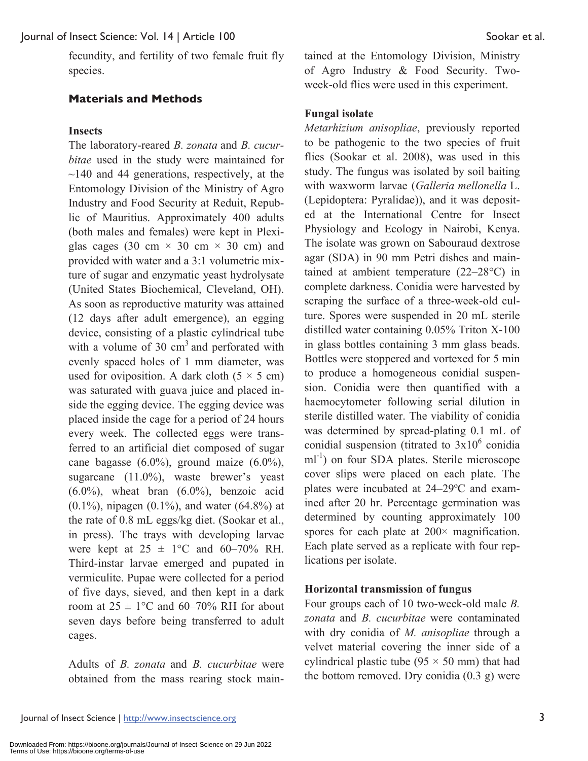fecundity, and fertility of two female fruit fly species.

# **Materials and Methods**

#### **Insects**

The laboratory-reared *B. zonata* and *B. cucurbitae* used in the study were maintained for  $\sim$ 140 and 44 generations, respectively, at the Entomology Division of the Ministry of Agro Industry and Food Security at Reduit, Republic of Mauritius. Approximately 400 adults (both males and females) were kept in Plexiglas cages (30 cm  $\times$  30 cm  $\times$  30 cm) and provided with water and a 3:1 volumetric mixture of sugar and enzymatic yeast hydrolysate (United States Biochemical, Cleveland, OH). As soon as reproductive maturity was attained (12 days after adult emergence), an egging device, consisting of a plastic cylindrical tube with a volume of  $30 \text{ cm}^3$  and perforated with evenly spaced holes of 1 mm diameter, was used for oviposition. A dark cloth  $(5 \times 5 \text{ cm})$ was saturated with guava juice and placed inside the egging device. The egging device was placed inside the cage for a period of 24 hours every week. The collected eggs were transferred to an artificial diet composed of sugar cane bagasse  $(6.0\%)$ , ground maize  $(6.0\%)$ , sugarcane (11.0%), waste brewer's yeast  $(6.0\%)$ , wheat bran  $(6.0\%)$ , benzoic acid (0.1%), nipagen (0.1%), and water (64.8%) at the rate of 0.8 mL eggs/kg diet. (Sookar et al., in press). The trays with developing larvae were kept at  $25 \pm 1$ °C and 60–70% RH. Third-instar larvae emerged and pupated in vermiculite. Pupae were collected for a period of five days, sieved, and then kept in a dark room at  $25 \pm 1$ °C and 60–70% RH for about seven days before being transferred to adult cages.

Adults of *B. zonata* and *B. cucurbitae* were obtained from the mass rearing stock main-

tained at the Entomology Division, Ministry of Agro Industry & Food Security. Twoweek-old flies were used in this experiment.

# **Fungal isolate**

*Metarhizium anisopliae*, previously reported to be pathogenic to the two species of fruit flies (Sookar et al. 2008), was used in this study. The fungus was isolated by soil baiting with waxworm larvae (*Galleria mellonella* L. (Lepidoptera: Pyralidae)), and it was deposited at the International Centre for Insect Physiology and Ecology in Nairobi, Kenya. The isolate was grown on Sabouraud dextrose agar (SDA) in 90 mm Petri dishes and maintained at ambient temperature (22–28°C) in complete darkness. Conidia were harvested by scraping the surface of a three-week-old culture. Spores were suspended in 20 mL sterile distilled water containing 0.05% Triton X-100 in glass bottles containing 3 mm glass beads. Bottles were stoppered and vortexed for 5 min to produce a homogeneous conidial suspension. Conidia were then quantified with a haemocytometer following serial dilution in sterile distilled water. The viability of conidia was determined by spread-plating 0.1 mL of conidial suspension (titrated to  $3x10^6$  conidia  $ml^{-1}$ ) on four SDA plates. Sterile microscope cover slips were placed on each plate. The plates were incubated at 24–29ºC and examined after 20 hr. Percentage germination was determined by counting approximately 100 spores for each plate at  $200 \times$  magnification. Each plate served as a replicate with four replications per isolate.

# **Horizontal transmission of fungus**

Four groups each of 10 two-week-old male *B. zonata* and *B. cucurbitae* were contaminated with dry conidia of *M. anisopliae* through a velvet material covering the inner side of a cylindrical plastic tube ( $95 \times 50$  mm) that had the bottom removed. Dry conidia (0.3 g) were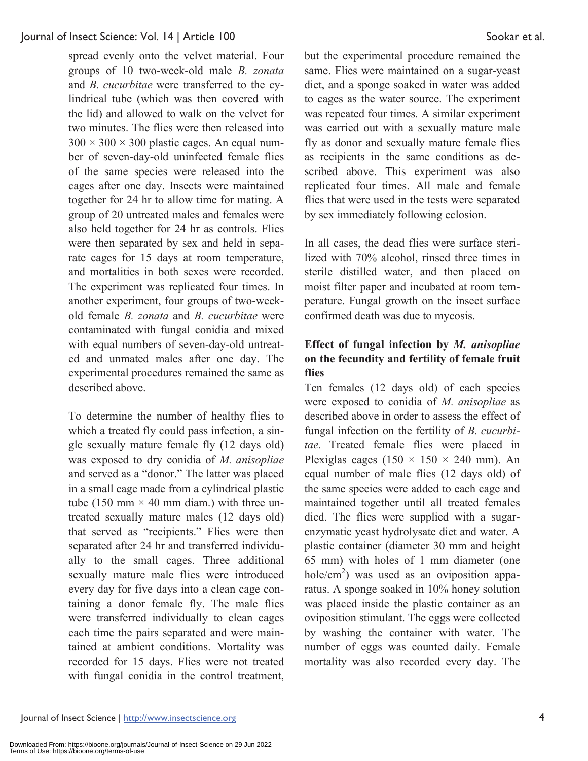spread evenly onto the velvet material. Four groups of 10 two-week-old male *B. zonata*  and *B. cucurbitae* were transferred to the cylindrical tube (which was then covered with the lid) and allowed to walk on the velvet for two minutes. The flies were then released into  $300 \times 300 \times 300$  plastic cages. An equal number of seven-day-old uninfected female flies of the same species were released into the cages after one day. Insects were maintained together for 24 hr to allow time for mating. A group of 20 untreated males and females were also held together for 24 hr as controls. Flies were then separated by sex and held in separate cages for 15 days at room temperature, and mortalities in both sexes were recorded. The experiment was replicated four times. In another experiment, four groups of two-weekold female *B. zonata* and *B. cucurbitae* were contaminated with fungal conidia and mixed with equal numbers of seven-day-old untreated and unmated males after one day. The experimental procedures remained the same as described above.

To determine the number of healthy flies to which a treated fly could pass infection, a single sexually mature female fly (12 days old) was exposed to dry conidia of *M. anisopliae*  and served as a "donor." The latter was placed in a small cage made from a cylindrical plastic tube (150 mm  $\times$  40 mm diam.) with three untreated sexually mature males (12 days old) that served as "recipients." Flies were then separated after 24 hr and transferred individually to the small cages. Three additional sexually mature male flies were introduced every day for five days into a clean cage containing a donor female fly. The male flies were transferred individually to clean cages each time the pairs separated and were maintained at ambient conditions. Mortality was recorded for 15 days. Flies were not treated with fungal conidia in the control treatment, but the experimental procedure remained the same. Flies were maintained on a sugar-yeast diet, and a sponge soaked in water was added to cages as the water source. The experiment was repeated four times. A similar experiment was carried out with a sexually mature male fly as donor and sexually mature female flies as recipients in the same conditions as described above. This experiment was also replicated four times. All male and female flies that were used in the tests were separated by sex immediately following eclosion.

In all cases, the dead flies were surface sterilized with 70% alcohol, rinsed three times in sterile distilled water, and then placed on moist filter paper and incubated at room temperature. Fungal growth on the insect surface confirmed death was due to mycosis.

# **Effect of fungal infection by** *M. anisopliae*  **on the fecundity and fertility of female fruit flies**

Ten females (12 days old) of each species were exposed to conidia of *M. anisopliae* as described above in order to assess the effect of fungal infection on the fertility of *B. cucurbitae.* Treated female flies were placed in Plexiglas cages (150  $\times$  150  $\times$  240 mm). An equal number of male flies (12 days old) of the same species were added to each cage and maintained together until all treated females died. The flies were supplied with a sugarenzymatic yeast hydrolysate diet and water. A plastic container (diameter 30 mm and height 65 mm) with holes of 1 mm diameter (one hole/ $\text{cm}^2$ ) was used as an oviposition apparatus. A sponge soaked in 10% honey solution was placed inside the plastic container as an oviposition stimulant. The eggs were collected by washing the container with water. The number of eggs was counted daily. Female mortality was also recorded every day. The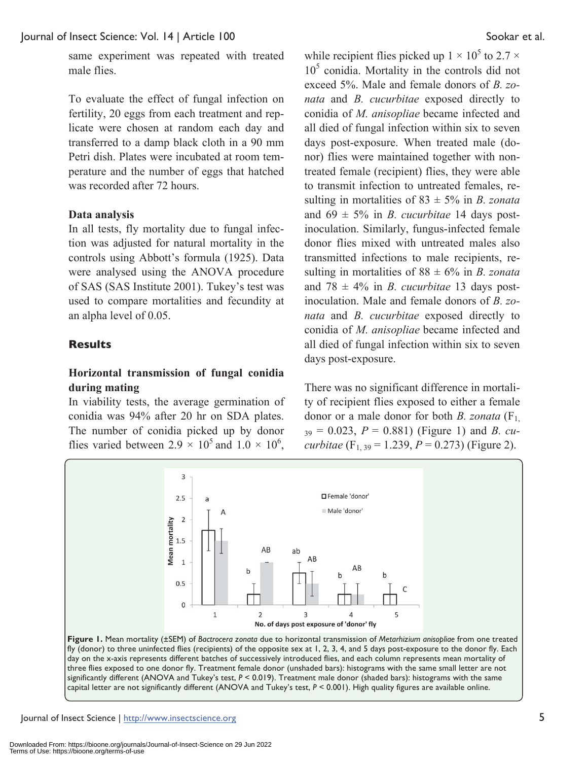same experiment was repeated with treated male flies.

To evaluate the effect of fungal infection on fertility, 20 eggs from each treatment and replicate were chosen at random each day and transferred to a damp black cloth in a 90 mm Petri dish. Plates were incubated at room temperature and the number of eggs that hatched was recorded after 72 hours.

#### **Data analysis**

In all tests, fly mortality due to fungal infection was adjusted for natural mortality in the controls using Abbott's formula (1925). Data were analysed using the ANOVA procedure of SAS (SAS Institute 2001). Tukey's test was used to compare mortalities and fecundity at an alpha level of 0.05.

#### **Results**

# **Horizontal transmission of fungal conidia during mating**

In viability tests, the average germination of conidia was 94% after 20 hr on SDA plates. The number of conidia picked up by donor flies varied between  $2.9 \times 10^5$  and  $1.0 \times 10^6$ ,

while recipient flies picked up  $1 \times 10^5$  to 2.7  $\times$ 105 conidia. Mortality in the controls did not exceed 5%. Male and female donors of *B. zonata* and *B. cucurbitae* exposed directly to conidia of *M. anisopliae* became infected and all died of fungal infection within six to seven days post-exposure. When treated male (donor) flies were maintained together with nontreated female (recipient) flies, they were able to transmit infection to untreated females, resulting in mortalities of  $83 \pm 5\%$  in *B. zonata* and  $69 \pm 5\%$  in *B. cucurbitae* 14 days postinoculation. Similarly, fungus-infected female donor flies mixed with untreated males also transmitted infections to male recipients, resulting in mortalities of  $88 \pm 6\%$  in *B. zonata* and  $78 \pm 4\%$  in *B. cucurbitae* 13 days postinoculation. Male and female donors of *B. zonata* and *B. cucurbitae* exposed directly to conidia of *M. anisopliae* became infected and all died of fungal infection within six to seven days post-exposure.

There was no significant difference in mortality of recipient flies exposed to either a female donor or a male donor for both *B. zonata* (F1,  $_{39} = 0.023$ ,  $P = 0.881$ ) (Figure 1) and *B. cucurbitae* (F<sub>1, 39</sub> = 1.239,  $P = 0.273$ ) (Figure 2).

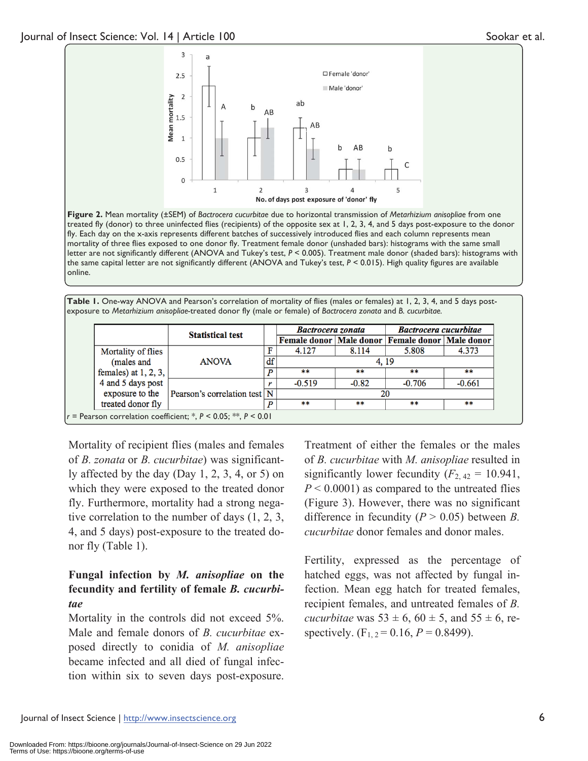

**Figure 2.** Mean mortality (±SEM) of *Bactrocera cucurbitae* due to horizontal transmission of *Metarhizium anisopliae* from one treated fly (donor) to three uninfected flies (recipients) of the opposite sex at 1, 2, 3, 4, and 5 days post-exposure to the donor fly. Each day on the x-axis represents different batches of successively introduced flies and each column represents mean mortality of three flies exposed to one donor fly. Treatment female donor (unshaded bars): histograms with the same small letter are not significantly different (ANOVA and Tukey's test, *P* < 0.005). Treatment male donor (shaded bars): histograms with the same capital letter are not significantly different (ANOVA and Tukey's test, *P* < 0.015). High quality figures are available online.

Table 1. One-way ANOVA and Pearson's correlation of mortality of flies (males or females) at 1, 2, 3, 4, and 5 days postexposure to *Metarhizium anisopliae-*treated donor fly (male or female) of *Bactrocera zonata* and *B. cucurbitae.*

|                         | <b>Statistical test</b>                                                   |    | <b>Bactrocera</b> zonata |         | <b>Bactrocera cucurbitae</b>                    |          |
|-------------------------|---------------------------------------------------------------------------|----|--------------------------|---------|-------------------------------------------------|----------|
|                         |                                                                           |    |                          |         | Female donor Male donor Female donor Male donor |          |
| Mortality of flies      |                                                                           | F  | 4.127                    | 8.114   | 5.808                                           | 4.373    |
| (males and              | <b>ANOVA</b>                                                              | df | 4, 19                    |         |                                                 |          |
| females) at $1, 2, 3$ , |                                                                           | D  | **                       | **      | **                                              | **       |
| 4 and 5 days post       |                                                                           |    | $-0.519$                 | $-0.82$ | $-0.706$                                        | $-0.661$ |
|                         | exposure to the   Pearson's correlation test $\overline{N}$               |    | 20                       |         |                                                 |          |
| treated donor fly       |                                                                           | D  | **                       | **      | 本本                                              | **       |
|                         | r = Pearson correlation coefficient; $*$ , $P < 0.05$ ; $**$ , $P < 0.01$ |    |                          |         |                                                 |          |

Mortality of recipient flies (males and females of *B. zonata* or *B. cucurbitae*) was significantly affected by the day (Day 1, 2, 3, 4, or 5) on which they were exposed to the treated donor fly. Furthermore, mortality had a strong negative correlation to the number of days (1, 2, 3, 4, and 5 days) post-exposure to the treated donor fly (Table 1).

# **Fungal infection by** *M. anisopliae* **on the fecundity and fertility of female** *B. cucurbitae*

Mortality in the controls did not exceed 5%. Male and female donors of *B. cucurbitae* exposed directly to conidia of *M. anisopliae*  became infected and all died of fungal infection within six to seven days post-exposure.

Treatment of either the females or the males of *B. cucurbitae* with *M. anisopliae* resulted in significantly lower fecundity  $(F_{2,42} = 10.941,$  $P < 0.0001$ ) as compared to the untreated flies (Figure 3). However, there was no significant difference in fecundity  $(P > 0.05)$  between *B*. *cucurbitae* donor females and donor males.

Fertility, expressed as the percentage of hatched eggs, was not affected by fungal infection. Mean egg hatch for treated females, recipient females, and untreated females of *B. cucurbitae* was  $53 \pm 6$ ,  $60 \pm 5$ , and  $55 \pm 6$ , respectively. (F<sub>1, 2</sub> = 0.16, P = 0.8499).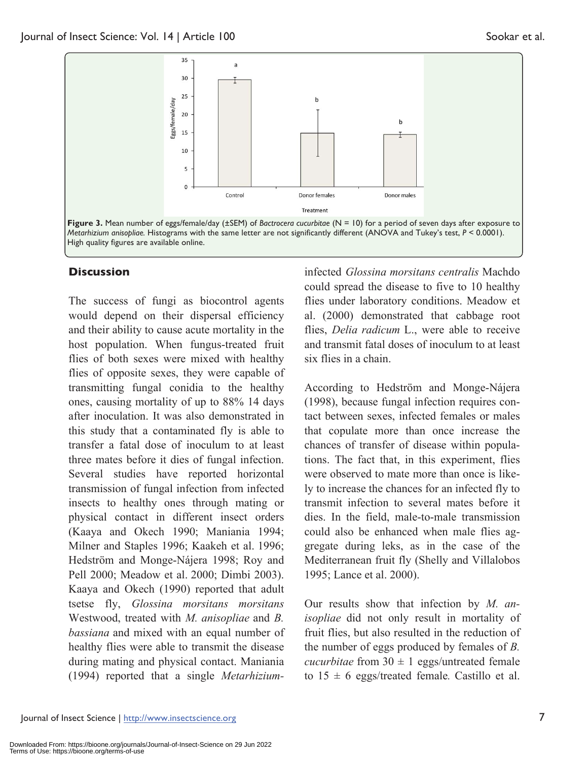

# **Discussion**

The success of fungi as biocontrol agents would depend on their dispersal efficiency and their ability to cause acute mortality in the host population. When fungus-treated fruit flies of both sexes were mixed with healthy flies of opposite sexes, they were capable of transmitting fungal conidia to the healthy ones, causing mortality of up to 88% 14 days after inoculation. It was also demonstrated in this study that a contaminated fly is able to transfer a fatal dose of inoculum to at least three mates before it dies of fungal infection. Several studies have reported horizontal transmission of fungal infection from infected insects to healthy ones through mating or physical contact in different insect orders (Kaaya and Okech 1990; Maniania 1994; Milner and Staples 1996; Kaakeh et al. 1996; Hedström and Monge-Nájera 1998; Roy and Pell 2000; Meadow et al. 2000; Dimbi 2003). Kaaya and Okech (1990) reported that adult tsetse fly, *Glossina morsitans morsitans*  Westwood, treated with *M. anisopliae* and *B. bassiana* and mixed with an equal number of healthy flies were able to transmit the disease during mating and physical contact. Maniania (1994) reported that a single *Metarhizium-*

infected *Glossina morsitans centralis* Machdo could spread the disease to five to 10 healthy flies under laboratory conditions. Meadow et al. (2000) demonstrated that cabbage root flies, *Delia radicum* L., were able to receive and transmit fatal doses of inoculum to at least six flies in a chain.

According to Hedström and Monge-Nájera (1998), because fungal infection requires contact between sexes, infected females or males that copulate more than once increase the chances of transfer of disease within populations. The fact that, in this experiment, flies were observed to mate more than once is likely to increase the chances for an infected fly to transmit infection to several mates before it dies. In the field, male-to-male transmission could also be enhanced when male flies aggregate during leks, as in the case of the Mediterranean fruit fly (Shelly and Villalobos 1995; Lance et al. 2000).

Our results show that infection by *M. anisopliae* did not only result in mortality of fruit flies, but also resulted in the reduction of the number of eggs produced by females of *B. cucurbitae* from  $30 \pm 1$  eggs/untreated female to  $15 \pm 6$  eggs/treated female. Castillo et al.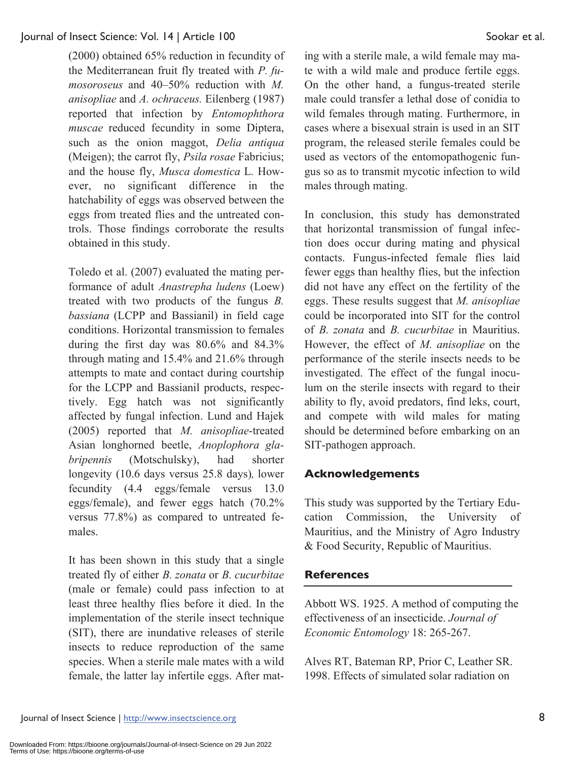(2000) obtained 65% reduction in fecundity of the Mediterranean fruit fly treated with *P. fumosoroseus* and 40–50% reduction with *M. anisopliae* and *A. ochraceus.* Eilenberg (1987) reported that infection by *Entomophthora muscae* reduced fecundity in some Diptera, such as the onion maggot, *Delia antiqua*  (Meigen); the carrot fly, *Psila rosae* Fabricius; and the house fly, *Musca domestica* L*.* However, no significant difference in the hatchability of eggs was observed between the eggs from treated flies and the untreated controls. Those findings corroborate the results obtained in this study.

Toledo et al. (2007) evaluated the mating performance of adult *Anastrepha ludens* (Loew) treated with two products of the fungus *B. bassiana* (LCPP and Bassianil) in field cage conditions. Horizontal transmission to females during the first day was 80.6% and 84.3% through mating and 15.4% and 21.6% through attempts to mate and contact during courtship for the LCPP and Bassianil products, respectively. Egg hatch was not significantly affected by fungal infection. Lund and Hajek (2005) reported that *M. anisopliae*-treated Asian longhorned beetle, *Anoplophora glabripennis* (Motschulsky), had shorter longevity (10.6 days versus 25.8 days)*,* lower fecundity (4.4 eggs/female versus 13.0 eggs/female), and fewer eggs hatch (70.2% versus 77.8%) as compared to untreated females.

It has been shown in this study that a single treated fly of either *B. zonata* or *B. cucurbitae*  (male or female) could pass infection to at least three healthy flies before it died. In the implementation of the sterile insect technique (SIT), there are inundative releases of sterile insects to reduce reproduction of the same species. When a sterile male mates with a wild female, the latter lay infertile eggs. After mat-

ing with a sterile male, a wild female may mate with a wild male and produce fertile eggs. On the other hand, a fungus-treated sterile male could transfer a lethal dose of conidia to wild females through mating. Furthermore, in cases where a bisexual strain is used in an SIT program, the released sterile females could be used as vectors of the entomopathogenic fungus so as to transmit mycotic infection to wild males through mating.

In conclusion, this study has demonstrated that horizontal transmission of fungal infection does occur during mating and physical contacts. Fungus-infected female flies laid fewer eggs than healthy flies, but the infection did not have any effect on the fertility of the eggs. These results suggest that *M. anisopliae*  could be incorporated into SIT for the control of *B. zonata* and *B. cucurbitae* in Mauritius. However, the effect of *M. anisopliae* on the performance of the sterile insects needs to be investigated. The effect of the fungal inoculum on the sterile insects with regard to their ability to fly, avoid predators, find leks, court, and compete with wild males for mating should be determined before embarking on an SIT-pathogen approach.

# **Acknowledgements**

This study was supported by the Tertiary Education Commission, the University of Mauritius, and the Ministry of Agro Industry & Food Security, Republic of Mauritius.

# **References**

Abbott WS. 1925. A method of computing the effectiveness of an insecticide. *Journal of Economic Entomology* 18: 265-267.

Alves RT, Bateman RP, Prior C, Leather SR. 1998. Effects of simulated solar radiation on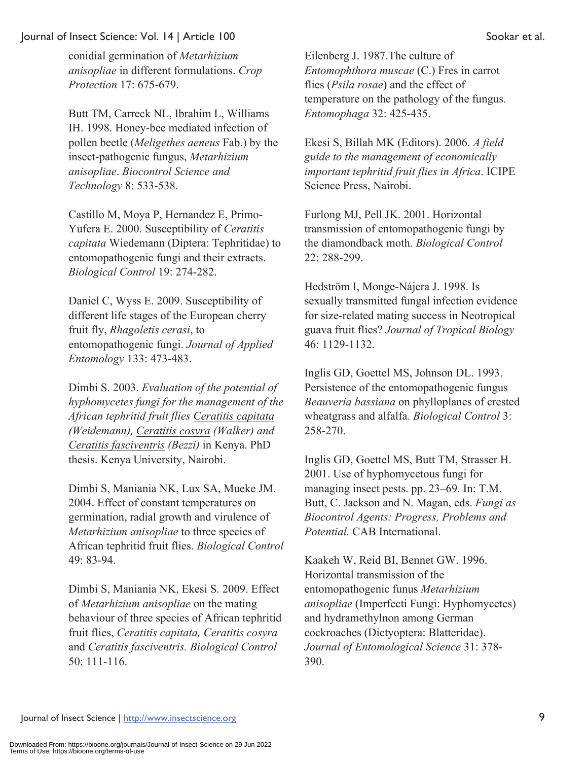conidial germination of *Metarhizium anisopliae* in different formulations. *Crop Protection* 17: 675-679.

Butt TM, Carreck NL, Ibrahim L, Williams IH. 1998. Honey-bee mediated infection of pollen beetle (*Meligethes aeneus* Fab.) by the insect-pathogenic fungus, *Metarhizium anisopliae*. *Biocontrol Science and Technology* 8: 533-538.

Castillo M, Moya P, Hernandez E, Primo-Yufera E. 2000. Susceptibility of *Ceratitis capitata* Wiedemann (Diptera: Tephritidae) to entomopathogenic fungi and their extracts. *Biological Control* 19: 274-282.

Daniel C, Wyss E. 2009. Susceptibility of different life stages of the European cherry fruit fly, *Rhagoletis cerasi*, to entomopathogenic fungi. *Journal of Applied Entomology* 133: 473-483.

Dimbi S. 2003. *Evaluation of the potential of hyphomycetes fungi for the management of the African tephritid fruit flies Ceratitis capitata (Weidemann), Ceratitis cosyra (Walker) and Ceratitis fasciventris (Bezzi)* in Kenya. PhD thesis. Kenya University, Nairobi.

Dimbi S, Maniania NK, Lux SA, Mueke JM. 2004. Effect of constant temperatures on germination, radial growth and virulence of *Metarhizium anisopliae* to three species of African tephritid fruit flies. *Biological Control*  49: 83-94.

Dimbi S, Maniania NK, Ekesi S. 2009. Effect of *Metarhizium anisopliae* on the mating behaviour of three species of African tephritid fruit flies, *Ceratitis capitata, Ceratitis cosyra*  and *Ceratitis fasciventris. Biological Control*  50: 111-116.

Eilenberg J. 1987.The culture of *Entomophthora muscae* (C.) Fres in carrot flies (*Psila rosae*) and the effect of temperature on the pathology of the fungus. *Entomophaga* 32: 425-435.

Ekesi S, Billah MK (Editors). 2006. *A field guide to the management of economically important tephritid fruit flies in Africa*. ICIPE Science Press, Nairobi.

Furlong MJ, Pell JK. 2001. Horizontal transmission of entomopathogenic fungi by the diamondback moth. *Biological Control*  22: 288-299.

Hedström I, Monge-Nájera J. 1998. Is sexually transmitted fungal infection evidence for size-related mating success in Neotropical guava fruit flies? *Journal of Tropical Biology*  46: 1129-1132.

Inglis GD, Goettel MS, Johnson DL. 1993. Persistence of the entomopathogenic fungus *Beauveria bassiana* on phylloplanes of crested wheatgrass and alfalfa. *Biological Control* 3: 258-270.

Inglis GD, Goettel MS, Butt TM, Strasser H. 2001. Use of hyphomycetous fungi for managing insect pests. pp. 23–69. In: T.M. Butt, C. Jackson and N. Magan, eds. *Fungi as Biocontrol Agents: Progress, Problems and Potential.* CAB International.

Kaakeh W, Reid BI, Bennet GW. 1996. Horizontal transmission of the entomopathogenic funus *Metarhizium anisopliae* (Imperfecti Fungi: Hyphomycetes) and hydramethylnon among German cockroaches (Dictyoptera: Blatteridae). *Journal of Entomological Science* 31: 378- 390.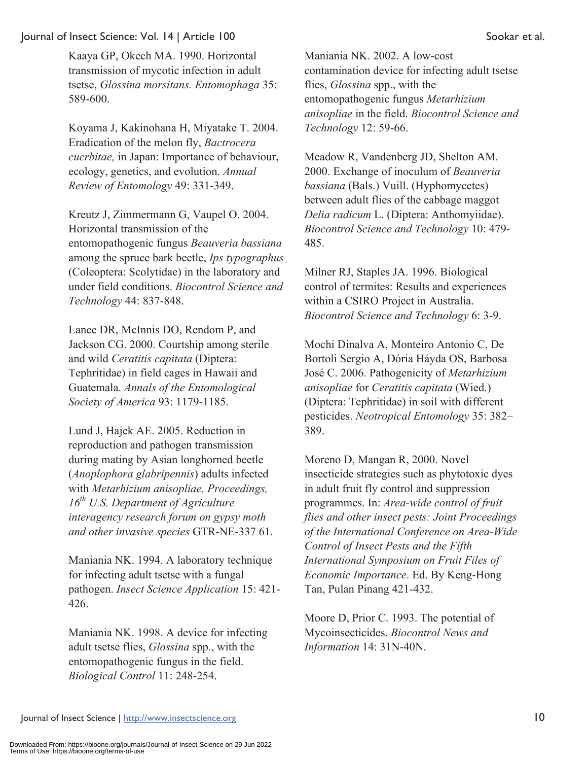Kaaya GP, Okech MA. 1990. Horizontal transmission of mycotic infection in adult tsetse, *Glossina morsitans. Entomophaga* 35: 589-600.

Koyama J, Kakinohana H, Miyatake T. 2004. Eradication of the melon fly, *Bactrocera cucrbitae,* in Japan: Importance of behaviour, ecology, genetics, and evolution. *Annual Review of Entomology* 49: 331-349.

Kreutz J, Zimmermann G, Vaupel O. 2004. Horizontal transmission of the entomopathogenic fungus *Beauveria bassiana*  among the spruce bark beetle, *Ips typographus*  (Coleoptera: Scolytidae) in the laboratory and under field conditions. *Biocontrol Science and Technology* 44: 837-848.

Lance DR, McInnis DO, Rendom P, and Jackson CG. 2000. Courtship among sterile and wild *Ceratitis capitata* (Diptera: Tephritidae) in field cages in Hawaii and Guatemala. *Annals of the Entomological Society of America* 93: 1179-1185.

Lund J, Hajek AE. 2005. Reduction in reproduction and pathogen transmission during mating by Asian longhorned beetle (*Anoplophora glabripennis*) adults infected with *Metarhizium anisopliae. Proceedings, 16th U.S. Department of Agriculture interagency research forum on gypsy moth and other invasive species* GTR-NE-337 61.

Maniania NK. 1994. A laboratory technique for infecting adult tsetse with a fungal pathogen. *Insect Science Application* 15: 421- 426.

Maniania NK. 1998. A device for infecting adult tsetse flies, *Glossina* spp., with the entomopathogenic fungus in the field. *Biological Control* 11: 248-254.

Maniania NK. 2002. A low-cost contamination device for infecting adult tsetse flies, *Glossina* spp., with the entomopathogenic fungus *Metarhizium anisopliae* in the field. *Biocontrol Science and Technology* 12: 59-66.

Meadow R, Vandenberg JD, Shelton AM. 2000. Exchange of inoculum of *Beauveria bassiana* (Bals.) Vuill. (Hyphomycetes) between adult flies of the cabbage maggot *Delia radicum* L. (Diptera: Anthomyiidae). *Biocontrol Science and Technology* 10: 479- 485.

Milner RJ, Staples JA. 1996. Biological control of termites: Results and experiences within a CSIRO Project in Australia. *Biocontrol Science and Technology* 6: 3-9.

Mochi Dinalva A, Monteiro Antonio C, De Bortoli Sergio A, Dória Háyda OS, Barbosa José C. 2006. Pathogenicity of *Metarhizium anisopliae* for *Ceratitis capitata* (Wied.) (Diptera: Tephritidae) in soil with different pesticides. *Neotropical Entomology* 35: 382– 389.

Moreno D, Mangan R, 2000. Novel insecticide strategies such as phytotoxic dyes in adult fruit fly control and suppression programmes. In: *Area-wide control of fruit flies and other insect pests: Joint Proceedings of the International Conference on Area-Wide Control of Insect Pests and the Fifth International Symposium on Fruit Files of Economic Importance*. Ed. By Keng-Hong Tan, Pulan Pinang 421-432.

Moore D, Prior C. 1993. The potential of Mycoinsecticides. *Biocontrol News and Information* 14: 31N-40N.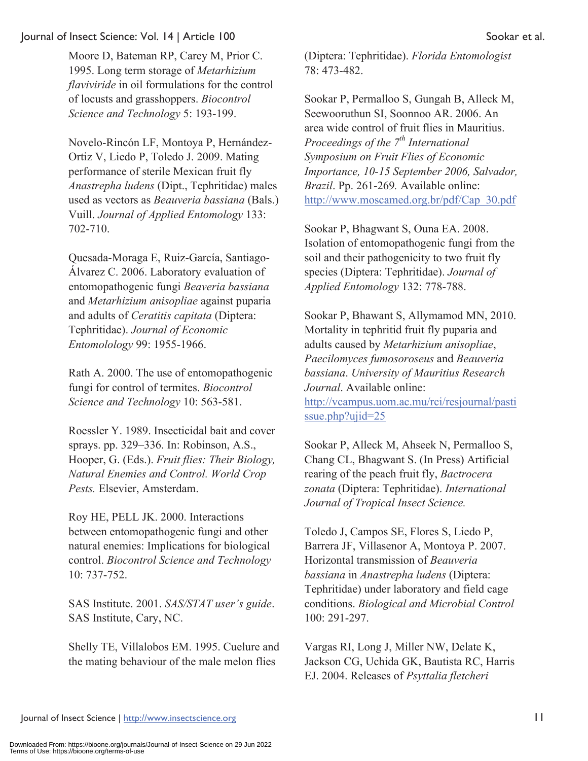Moore D, Bateman RP, Carey M, Prior C. 1995. Long term storage of *Metarhizium flaviviride* in oil formulations for the control of locusts and grasshoppers. *Biocontrol Science and Technology* 5: 193-199.

Novelo-Rincón LF, Montoya P, Hernández-Ortiz V, Liedo P, Toledo J. 2009. Mating performance of sterile Mexican fruit fly *Anastrepha ludens* (Dipt., Tephritidae) males used as vectors as *Beauveria bassiana* (Bals.) Vuill. *Journal of Applied Entomology* 133: 702-710.

Quesada-Moraga E, Ruiz-García, Santiago-Álvarez C. 2006. Laboratory evaluation of entomopathogenic fungi *Beaveria bassiana*  and *Metarhizium anisopliae* against puparia and adults of *Ceratitis capitata* (Diptera: Tephritidae). *Journal of Economic Entomolology* 99: 1955-1966.

Rath A. 2000. The use of entomopathogenic fungi for control of termites. *Biocontrol Science and Technology* 10: 563-581.

Roessler Y. 1989. Insecticidal bait and cover sprays. pp. 329–336. In: Robinson, A.S., Hooper, G. (Eds.). *Fruit flies: Their Biology, Natural Enemies and Control. World Crop Pests.* Elsevier, Amsterdam.

Roy HE, PELL JK. 2000. Interactions between entomopathogenic fungi and other natural enemies: Implications for biological control. *Biocontrol Science and Technology*  10: 737-752.

SAS Institute. 2001. *SAS/STAT user's guide*. SAS Institute, Cary, NC.

Shelly TE, Villalobos EM. 1995. Cuelure and the mating behaviour of the male melon flies

(Diptera: Tephritidae). *Florida Entomologist*  78: 473-482.

Sookar P, Permalloo S, Gungah B, Alleck M, Seewooruthun SI, Soonnoo AR. 2006. An area wide control of fruit flies in Mauritius. *Proceedings of the 7<sup>th</sup> International Symposium on Fruit Flies of Economic Importance, 10-15 September 2006, Salvador, Brazil*. Pp. 261-269*.* Available online: http://www.moscamed.org.br/pdf/Cap\_30.pdf

Sookar P, Bhagwant S, Ouna EA. 2008. Isolation of entomopathogenic fungi from the soil and their pathogenicity to two fruit fly species (Diptera: Tephritidae). *Journal of Applied Entomology* 132: 778-788.

Sookar P, Bhawant S, Allymamod MN, 2010. Mortality in tephritid fruit fly puparia and adults caused by *Metarhizium anisopliae*, *Paecilomyces fumosoroseus* and *Beauveria bassiana*. *University of Mauritius Research Journal*. Available online:

http://vcampus.uom.ac.mu/rci/resjournal/pasti ssue.php?ujid=25

Sookar P, Alleck M, Ahseek N, Permalloo S, Chang CL, Bhagwant S. (In Press) Artificial rearing of the peach fruit fly, *Bactrocera zonata* (Diptera: Tephritidae). *International Journal of Tropical Insect Science.*

Toledo J, Campos SE, Flores S, Liedo P, Barrera JF, Villasenor A, Montoya P. 2007. Horizontal transmission of *Beauveria bassiana* in *Anastrepha ludens* (Diptera: Tephritidae) under laboratory and field cage conditions. *Biological and Microbial Control*  100: 291-297.

Vargas RI, Long J, Miller NW, Delate K, Jackson CG, Uchida GK, Bautista RC, Harris EJ. 2004. Releases of *Psyttalia fletcheri*